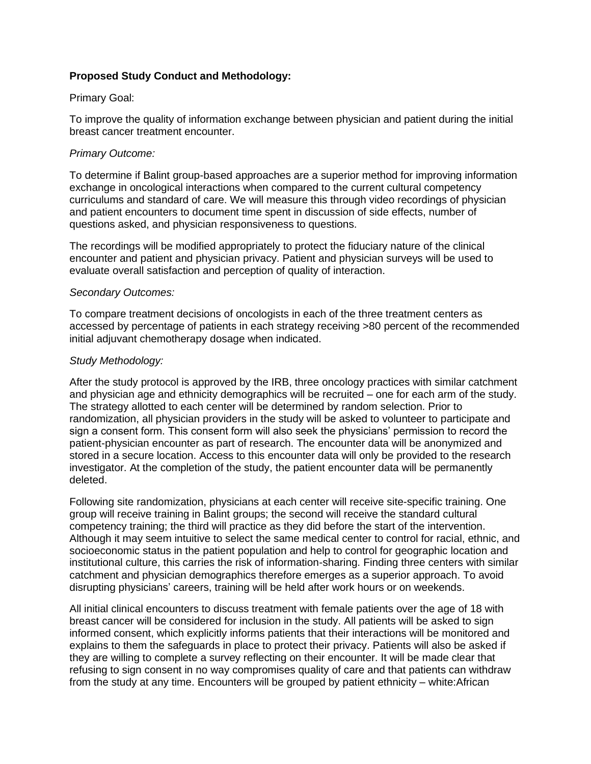## **Proposed Study Conduct and Methodology:**

#### Primary Goal:

To improve the quality of information exchange between physician and patient during the initial breast cancer treatment encounter.

### *Primary Outcome:*

To determine if Balint group-based approaches are a superior method for improving information exchange in oncological interactions when compared to the current cultural competency curriculums and standard of care. We will measure this through video recordings of physician and patient encounters to document time spent in discussion of side effects, number of questions asked, and physician responsiveness to questions.

The recordings will be modified appropriately to protect the fiduciary nature of the clinical encounter and patient and physician privacy. Patient and physician surveys will be used to evaluate overall satisfaction and perception of quality of interaction.

### *Secondary Outcomes:*

To compare treatment decisions of oncologists in each of the three treatment centers as accessed by percentage of patients in each strategy receiving >80 percent of the recommended initial adjuvant chemotherapy dosage when indicated.

### *Study Methodology:*

After the study protocol is approved by the IRB, three oncology practices with similar catchment and physician age and ethnicity demographics will be recruited – one for each arm of the study. The strategy allotted to each center will be determined by random selection. Prior to randomization, all physician providers in the study will be asked to volunteer to participate and sign a consent form. This consent form will also seek the physicians' permission to record the patient-physician encounter as part of research. The encounter data will be anonymized and stored in a secure location. Access to this encounter data will only be provided to the research investigator. At the completion of the study, the patient encounter data will be permanently deleted.

Following site randomization, physicians at each center will receive site-specific training. One group will receive training in Balint groups; the second will receive the standard cultural competency training; the third will practice as they did before the start of the intervention. Although it may seem intuitive to select the same medical center to control for racial, ethnic, and socioeconomic status in the patient population and help to control for geographic location and institutional culture, this carries the risk of information-sharing. Finding three centers with similar catchment and physician demographics therefore emerges as a superior approach. To avoid disrupting physicians' careers, training will be held after work hours or on weekends.

All initial clinical encounters to discuss treatment with female patients over the age of 18 with breast cancer will be considered for inclusion in the study. All patients will be asked to sign informed consent, which explicitly informs patients that their interactions will be monitored and explains to them the safeguards in place to protect their privacy. Patients will also be asked if they are willing to complete a survey reflecting on their encounter. It will be made clear that refusing to sign consent in no way compromises quality of care and that patients can withdraw from the study at any time. Encounters will be grouped by patient ethnicity – white:African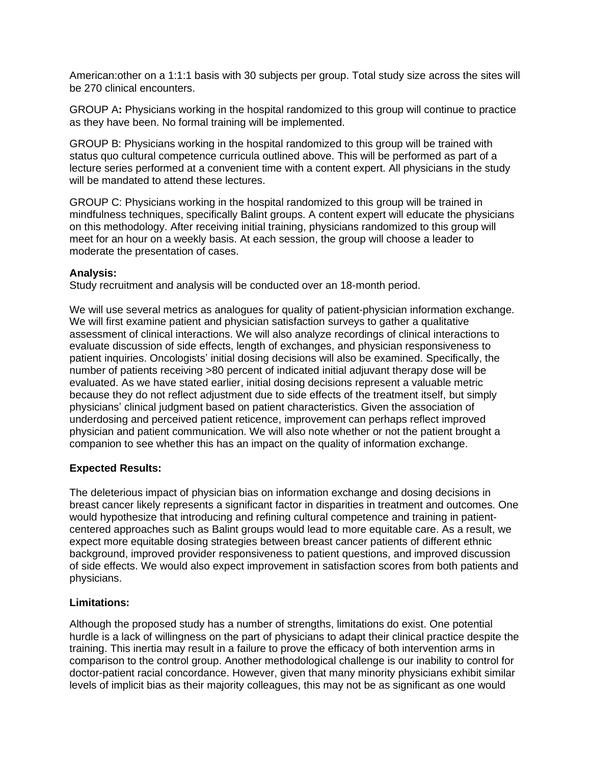American:other on a 1:1:1 basis with 30 subjects per group. Total study size across the sites will be 270 clinical encounters.

GROUP A**:** Physicians working in the hospital randomized to this group will continue to practice as they have been. No formal training will be implemented.

GROUP B: Physicians working in the hospital randomized to this group will be trained with status quo cultural competence curricula outlined above. This will be performed as part of a lecture series performed at a convenient time with a content expert. All physicians in the study will be mandated to attend these lectures.

GROUP C: Physicians working in the hospital randomized to this group will be trained in mindfulness techniques, specifically Balint groups. A content expert will educate the physicians on this methodology. After receiving initial training, physicians randomized to this group will meet for an hour on a weekly basis. At each session, the group will choose a leader to moderate the presentation of cases.

### **Analysis:**

Study recruitment and analysis will be conducted over an 18-month period.

We will use several metrics as analogues for quality of patient-physician information exchange. We will first examine patient and physician satisfaction surveys to gather a qualitative assessment of clinical interactions. We will also analyze recordings of clinical interactions to evaluate discussion of side effects, length of exchanges, and physician responsiveness to patient inquiries. Oncologists' initial dosing decisions will also be examined. Specifically, the number of patients receiving >80 percent of indicated initial adjuvant therapy dose will be evaluated. As we have stated earlier, initial dosing decisions represent a valuable metric because they do not reflect adjustment due to side effects of the treatment itself, but simply physicians' clinical judgment based on patient characteristics. Given the association of underdosing and perceived patient reticence, improvement can perhaps reflect improved physician and patient communication. We will also note whether or not the patient brought a companion to see whether this has an impact on the quality of information exchange.

# **Expected Results:**

The deleterious impact of physician bias on information exchange and dosing decisions in breast cancer likely represents a significant factor in disparities in treatment and outcomes. One would hypothesize that introducing and refining cultural competence and training in patientcentered approaches such as Balint groups would lead to more equitable care. As a result, we expect more equitable dosing strategies between breast cancer patients of different ethnic background, improved provider responsiveness to patient questions, and improved discussion of side effects. We would also expect improvement in satisfaction scores from both patients and physicians.

# **Limitations:**

Although the proposed study has a number of strengths, limitations do exist. One potential hurdle is a lack of willingness on the part of physicians to adapt their clinical practice despite the training. This inertia may result in a failure to prove the efficacy of both intervention arms in comparison to the control group. Another methodological challenge is our inability to control for doctor-patient racial concordance. However, given that many minority physicians exhibit similar levels of implicit bias as their majority colleagues, this may not be as significant as one would